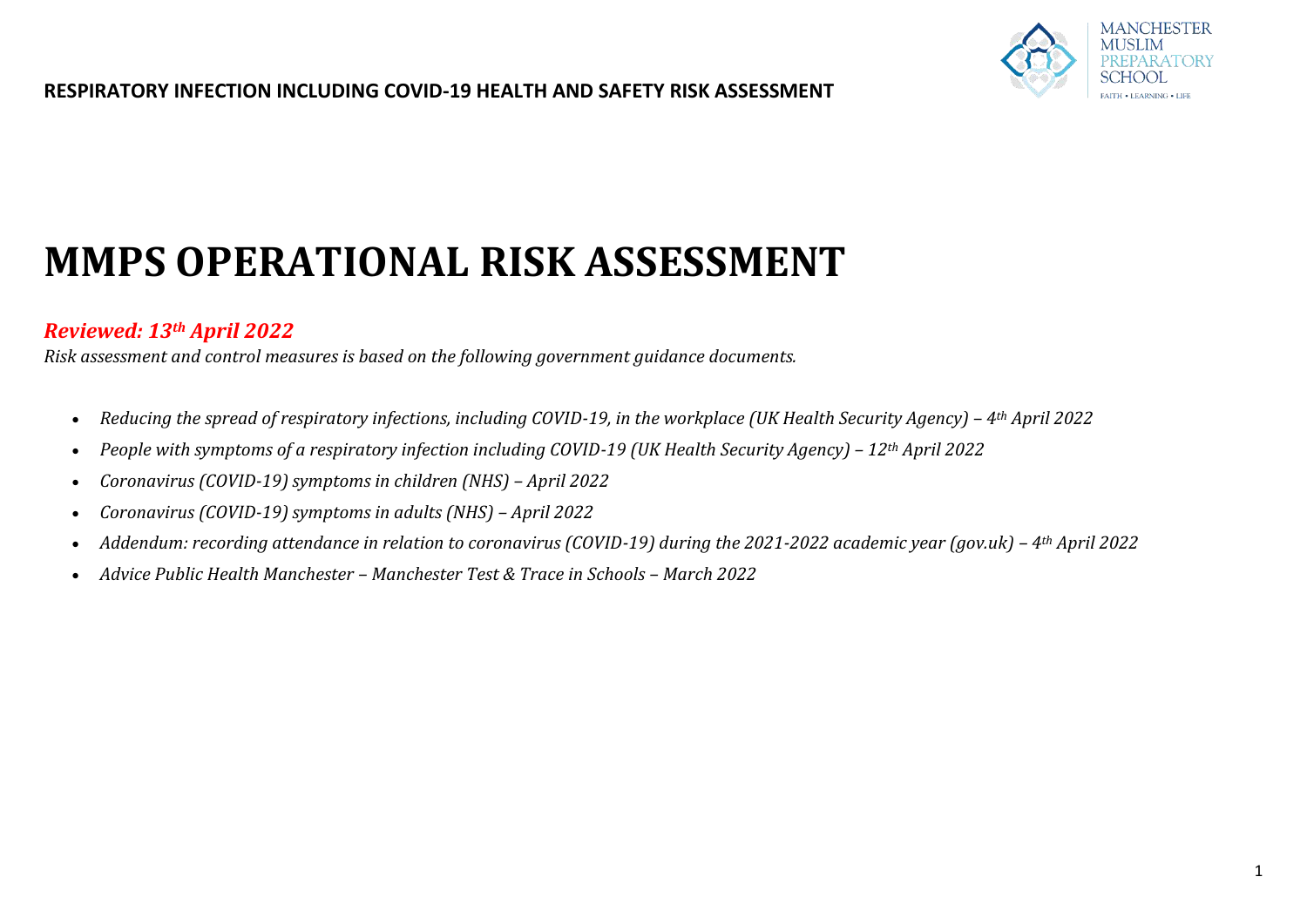

# **MMPS OPERATIONAL RISK ASSESSMENT**

## *Reviewed: 13th April 2022*

*Risk assessment and control measures is based on the following government guidance documents.* 

- Reducing the spread of respiratory infections, including COVID-19, in the workplace (UK Health Security Agency) 4<sup>th</sup> April 2022
- People with symptoms of a respiratory infection including COVID-19 (UK Health Security Agency) 12<sup>th</sup> April 2022
- *Coronavirus (COVID-19) symptoms in children (NHS) – April 2022*
- *Coronavirus (COVID-19) symptoms in adults (NHS) – April 2022*
- *Addendum: recording attendance in relation to coronavirus (COVID-19) during the 2021-2022 academic year (gov.uk) 4<sup>th</sup> April 2022*
- *Advice Public Health Manchester – Manchester Test & Trace in Schools – March 2022*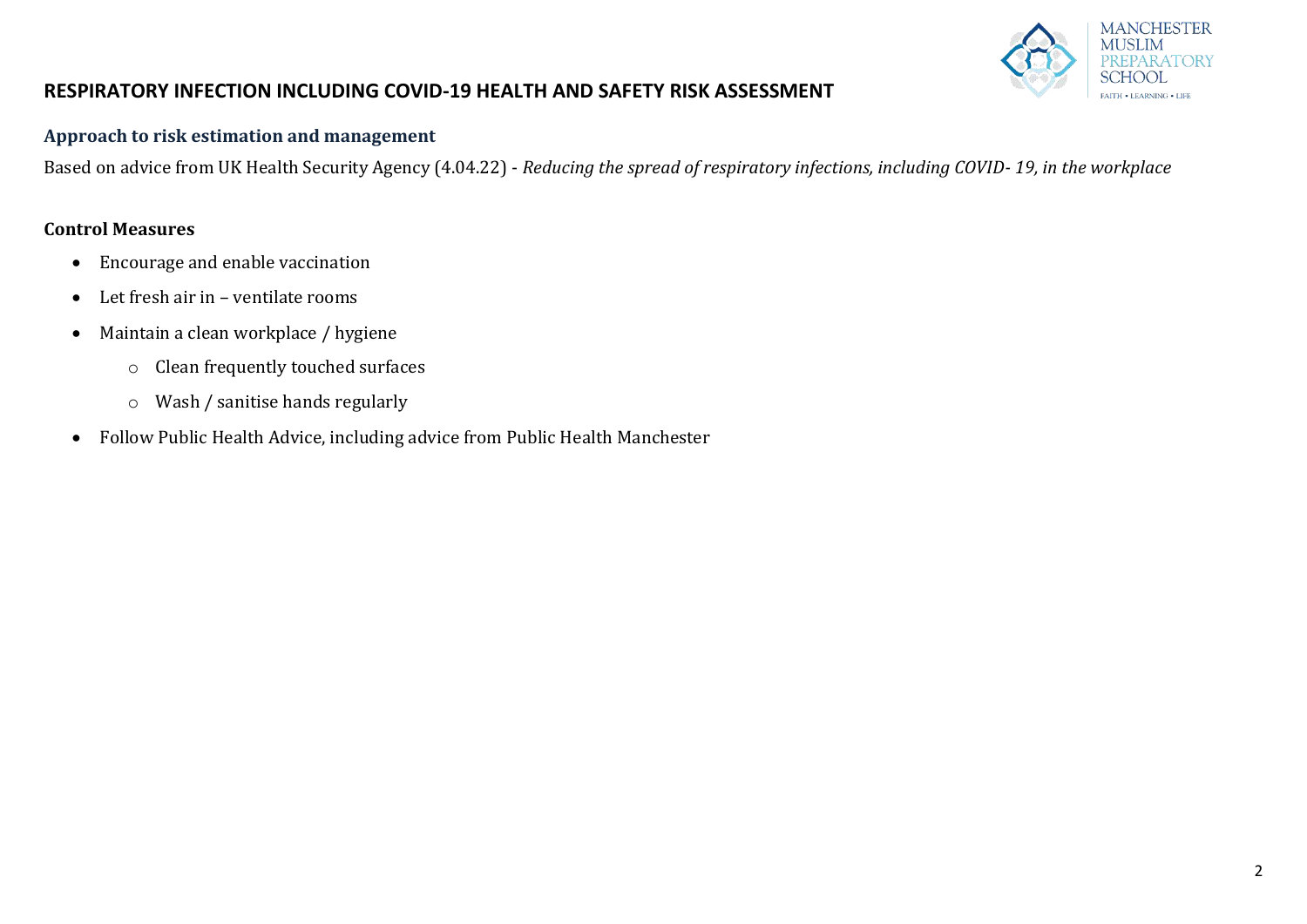

#### **Approach to risk estimation and management**

Based on advice from UK Health Security Agency (4.04.22) - *Reducing the spread of respiratory infections, including COVID- 19, in the workplace*

#### **Control Measures**

- Encourage and enable vaccination
- Let fresh air in ventilate rooms
- Maintain a clean workplace / hygiene
	- o Clean frequently touched surfaces
	- o Wash / sanitise hands regularly
- Follow Public Health Advice, including advice from Public Health Manchester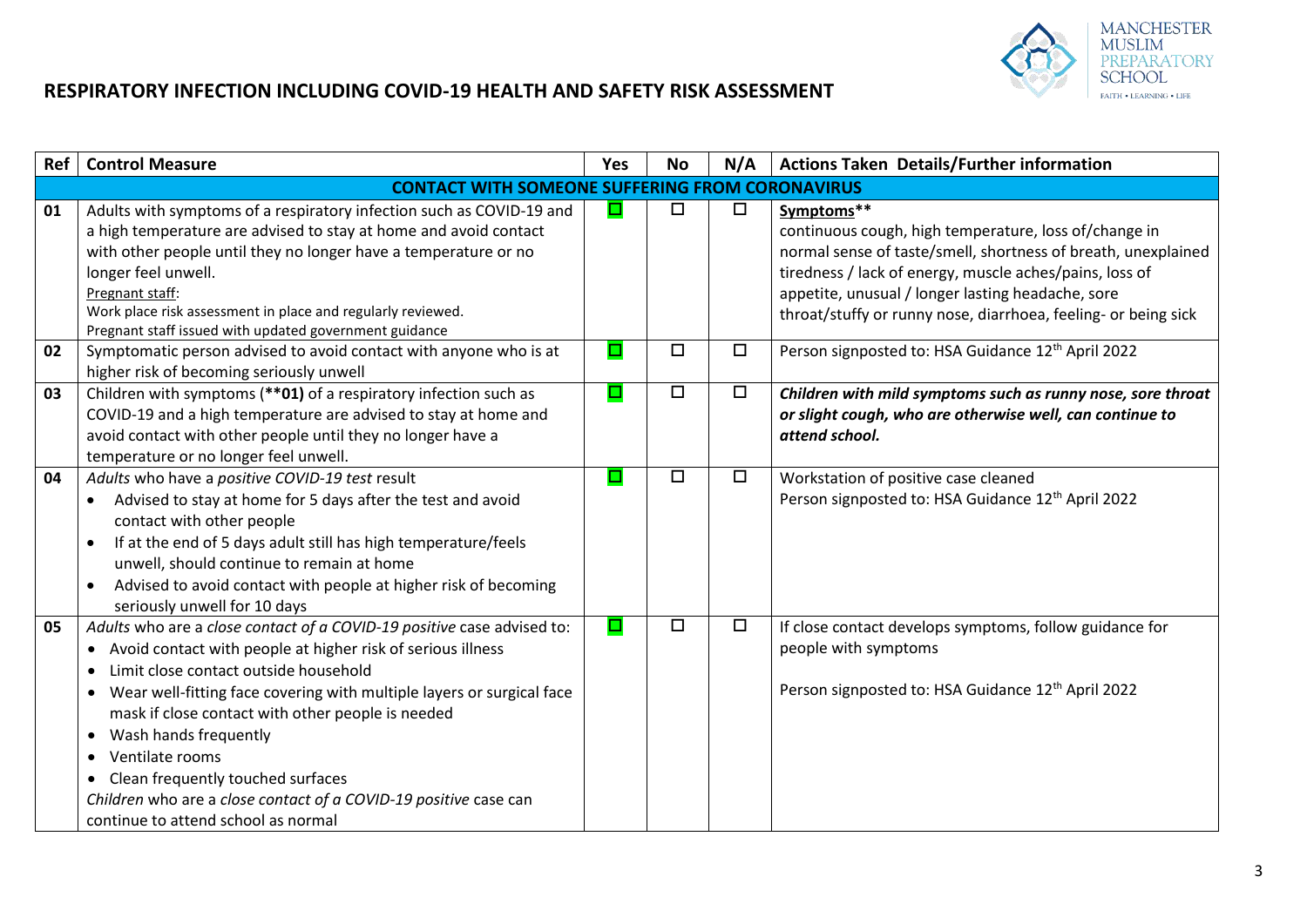

| <b>Ref</b> | <b>Control Measure</b>                                                                                                                   | <b>Yes</b> | <b>No</b> | N/A    | <b>Actions Taken Details/Further information</b>                    |  |  |
|------------|------------------------------------------------------------------------------------------------------------------------------------------|------------|-----------|--------|---------------------------------------------------------------------|--|--|
|            | <b>CONTACT WITH SOMEONE SUFFERING FROM CORONAVIRUS</b>                                                                                   |            |           |        |                                                                     |  |  |
| 01         | Adults with symptoms of a respiratory infection such as COVID-19 and<br>a high temperature are advised to stay at home and avoid contact | □          | $\Box$    | $\Box$ | Symptoms**<br>continuous cough, high temperature, loss of/change in |  |  |
|            | with other people until they no longer have a temperature or no                                                                          |            |           |        | normal sense of taste/smell, shortness of breath, unexplained       |  |  |
|            | longer feel unwell.                                                                                                                      |            |           |        | tiredness / lack of energy, muscle aches/pains, loss of             |  |  |
|            | Pregnant staff:                                                                                                                          |            |           |        | appetite, unusual / longer lasting headache, sore                   |  |  |
|            | Work place risk assessment in place and regularly reviewed.                                                                              |            |           |        | throat/stuffy or runny nose, diarrhoea, feeling- or being sick      |  |  |
|            | Pregnant staff issued with updated government guidance                                                                                   |            |           |        |                                                                     |  |  |
| 02         | Symptomatic person advised to avoid contact with anyone who is at                                                                        | □          | □         | $\Box$ | Person signposted to: HSA Guidance 12 <sup>th</sup> April 2022      |  |  |
|            | higher risk of becoming seriously unwell                                                                                                 |            |           |        |                                                                     |  |  |
| 03         | Children with symptoms (**01) of a respiratory infection such as                                                                         | □          | $\Box$    | $\Box$ | Children with mild symptoms such as runny nose, sore throat         |  |  |
|            | COVID-19 and a high temperature are advised to stay at home and                                                                          |            |           |        | or slight cough, who are otherwise well, can continue to            |  |  |
|            | avoid contact with other people until they no longer have a                                                                              |            |           |        | attend school.                                                      |  |  |
|            | temperature or no longer feel unwell.                                                                                                    |            |           |        |                                                                     |  |  |
| 04         | Adults who have a positive COVID-19 test result                                                                                          | □          | $\Box$    | $\Box$ | Workstation of positive case cleaned                                |  |  |
|            | Advised to stay at home for 5 days after the test and avoid<br>$\bullet$                                                                 |            |           |        | Person signposted to: HSA Guidance 12 <sup>th</sup> April 2022      |  |  |
|            | contact with other people                                                                                                                |            |           |        |                                                                     |  |  |
|            | If at the end of 5 days adult still has high temperature/feels<br>$\bullet$                                                              |            |           |        |                                                                     |  |  |
|            | unwell, should continue to remain at home                                                                                                |            |           |        |                                                                     |  |  |
|            | Advised to avoid contact with people at higher risk of becoming<br>$\bullet$                                                             |            |           |        |                                                                     |  |  |
| 05         | seriously unwell for 10 days<br>Adults who are a close contact of a COVID-19 positive case advised to:                                   | $\Box$     | $\Box$    | $\Box$ | If close contact develops symptoms, follow guidance for             |  |  |
|            | • Avoid contact with people at higher risk of serious illness                                                                            |            |           |        | people with symptoms                                                |  |  |
|            | Limit close contact outside household                                                                                                    |            |           |        |                                                                     |  |  |
|            |                                                                                                                                          |            |           |        | Person signposted to: HSA Guidance 12 <sup>th</sup> April 2022      |  |  |
|            | Wear well-fitting face covering with multiple layers or surgical face<br>$\bullet$<br>mask if close contact with other people is needed  |            |           |        |                                                                     |  |  |
|            | • Wash hands frequently                                                                                                                  |            |           |        |                                                                     |  |  |
|            | Ventilate rooms<br>$\bullet$                                                                                                             |            |           |        |                                                                     |  |  |
|            | • Clean frequently touched surfaces                                                                                                      |            |           |        |                                                                     |  |  |
|            | Children who are a close contact of a COVID-19 positive case can                                                                         |            |           |        |                                                                     |  |  |
|            | continue to attend school as normal                                                                                                      |            |           |        |                                                                     |  |  |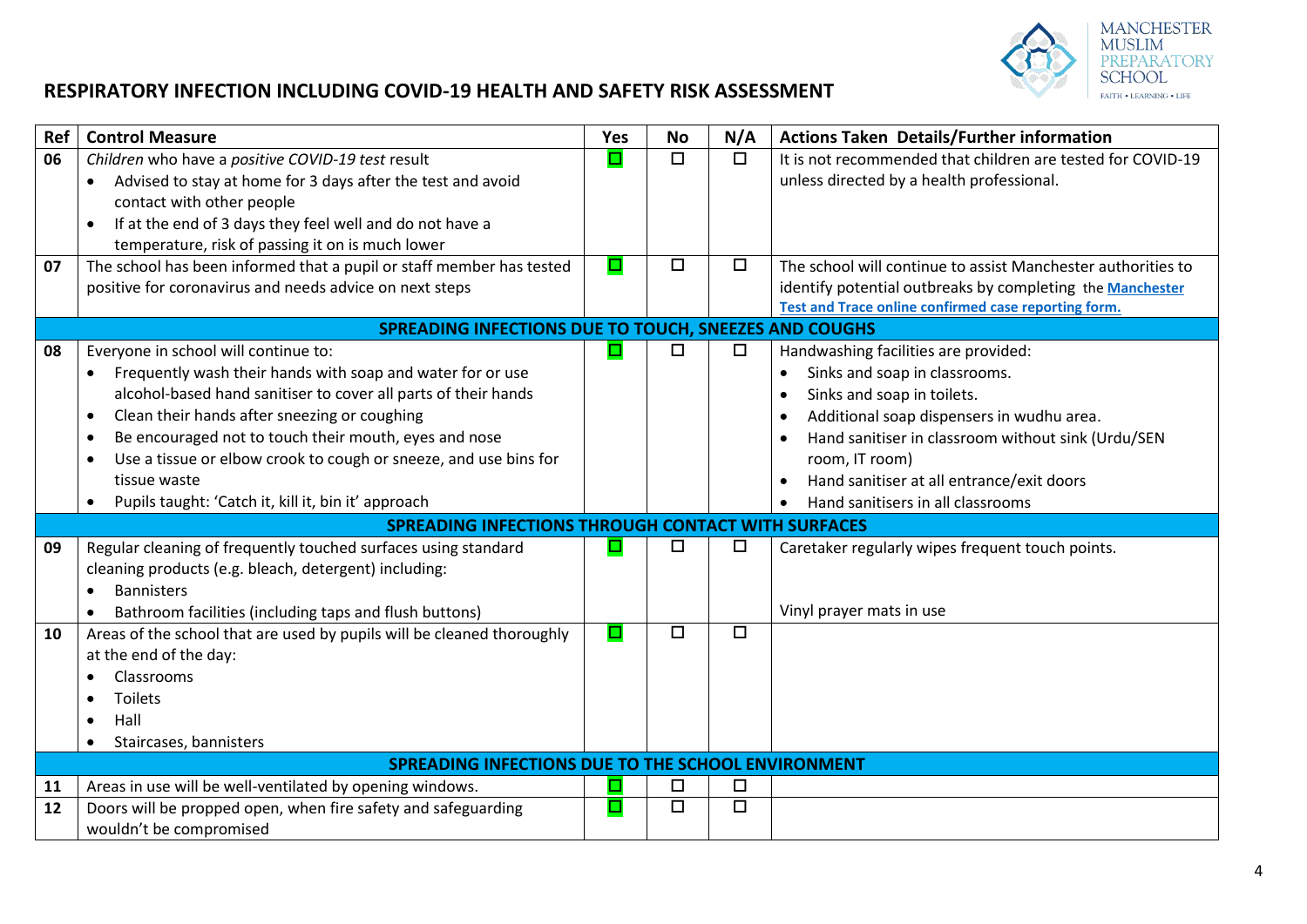

| Ref | <b>Control Measure</b>                                                                                                  | <b>Yes</b> | <b>No</b> | N/A                  | <b>Actions Taken Details/Further information</b>                                                         |  |  |  |
|-----|-------------------------------------------------------------------------------------------------------------------------|------------|-----------|----------------------|----------------------------------------------------------------------------------------------------------|--|--|--|
| 06  | Children who have a positive COVID-19 test result                                                                       | □          | $\Box$    | $\overline{\square}$ | It is not recommended that children are tested for COVID-19                                              |  |  |  |
|     | Advised to stay at home for 3 days after the test and avoid                                                             |            |           |                      | unless directed by a health professional.                                                                |  |  |  |
|     | contact with other people                                                                                               |            |           |                      |                                                                                                          |  |  |  |
|     | If at the end of 3 days they feel well and do not have a<br>$\bullet$                                                   |            |           |                      |                                                                                                          |  |  |  |
|     | temperature, risk of passing it on is much lower                                                                        |            |           |                      |                                                                                                          |  |  |  |
| 07  | The school has been informed that a pupil or staff member has tested                                                    | □          | $\Box$    | $\Box$               | The school will continue to assist Manchester authorities to                                             |  |  |  |
|     | positive for coronavirus and needs advice on next steps                                                                 |            |           |                      | identify potential outbreaks by completing the Manchester                                                |  |  |  |
|     |                                                                                                                         |            |           |                      | <b>Test and Trace online confirmed case reporting form.</b>                                              |  |  |  |
|     | SPREADING INFECTIONS DUE TO TOUCH, SNEEZES AND COUGHS                                                                   |            |           |                      |                                                                                                          |  |  |  |
| 08  | Everyone in school will continue to:                                                                                    | □          | □         | $\Box$               | Handwashing facilities are provided:                                                                     |  |  |  |
|     | Frequently wash their hands with soap and water for or use                                                              |            |           |                      | Sinks and soap in classrooms.                                                                            |  |  |  |
|     | alcohol-based hand sanitiser to cover all parts of their hands                                                          |            |           |                      | Sinks and soap in toilets.<br>$\bullet$                                                                  |  |  |  |
|     | Clean their hands after sneezing or coughing<br>$\bullet$                                                               |            |           |                      | Additional soap dispensers in wudhu area.<br>$\bullet$                                                   |  |  |  |
|     | Be encouraged not to touch their mouth, eyes and nose                                                                   |            |           |                      | Hand sanitiser in classroom without sink (Urdu/SEN                                                       |  |  |  |
|     | Use a tissue or elbow crook to cough or sneeze, and use bins for<br>tissue waste                                        |            |           |                      | room, IT room)                                                                                           |  |  |  |
|     | Pupils taught: 'Catch it, kill it, bin it' approach                                                                     |            |           |                      | Hand sanitiser at all entrance/exit doors<br>$\bullet$<br>Hand sanitisers in all classrooms<br>$\bullet$ |  |  |  |
|     | <b>SPREADING INFECTIONS THROUGH CONTACT WITH SURFACES</b>                                                               |            |           |                      |                                                                                                          |  |  |  |
| 09  |                                                                                                                         | ш          | $\Box$    | $\Box$               |                                                                                                          |  |  |  |
|     | Regular cleaning of frequently touched surfaces using standard<br>cleaning products (e.g. bleach, detergent) including: |            |           |                      | Caretaker regularly wipes frequent touch points.                                                         |  |  |  |
|     | <b>Bannisters</b>                                                                                                       |            |           |                      |                                                                                                          |  |  |  |
|     | Bathroom facilities (including taps and flush buttons)                                                                  |            |           |                      | Vinyl prayer mats in use                                                                                 |  |  |  |
| 10  | Areas of the school that are used by pupils will be cleaned thoroughly                                                  | О          | $\Box$    | $\Box$               |                                                                                                          |  |  |  |
|     | at the end of the day:                                                                                                  |            |           |                      |                                                                                                          |  |  |  |
|     | Classrooms                                                                                                              |            |           |                      |                                                                                                          |  |  |  |
|     | Toilets                                                                                                                 |            |           |                      |                                                                                                          |  |  |  |
|     | Hall                                                                                                                    |            |           |                      |                                                                                                          |  |  |  |
|     | Staircases, bannisters                                                                                                  |            |           |                      |                                                                                                          |  |  |  |
|     | SPREADING INFECTIONS DUE TO THE SCHOOL ENVIRONMENT                                                                      |            |           |                      |                                                                                                          |  |  |  |
| 11  | Areas in use will be well-ventilated by opening windows.                                                                |            | $\Box$    | $\Box$               |                                                                                                          |  |  |  |
| 12  | Doors will be propped open, when fire safety and safeguarding                                                           | O          | $\Box$    | $\Box$               |                                                                                                          |  |  |  |
|     | wouldn't be compromised                                                                                                 |            |           |                      |                                                                                                          |  |  |  |